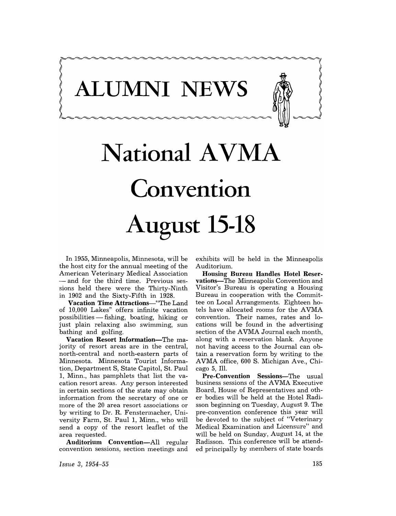**ALUMNI NEWS** 

# **National A VMA Convention August 15-18**

In 1955, Minneapolis, Minnesota, will be the host city for the annual meeting of the American Veterinary Medical Association - and for the third time. Previous sessions held there were the Thirty-Ninth in 1902 and the Sixty-Fifth in 1928.

Vacation Time Attractions-"The Land of 10,000 Lakes" offers infinite vacation possibilities - fishing, boating, hiking or just plain relaxing also swimming, sun bathing and golfing.

Vacation Resort Information-The majority of resort areas are in the central, north-central and north-eastern parts of Minnesota. Minnesota Tourist Information, Department S, State Capitol, St. Paul 1, Minn., has pamphlets that list the vacation resort areas. Any person interested in certain sections of the state may obtain information from the secretary of one or more of the 20 area resort associations or by writing to Dr. R. Fenstermacher, University Farm, St. Paul 1, Minn., who will send a copy of the resort leaflet of the area requested.

Auditorium Convention-All regular convention sessions, section meetings and

exhibits will be held in the Minneapolis Auditorium.

Housing Bureau Handles Hotel Reservations-The Minneapolis Convention and Visitor's Bureau is operating a Housing Bureau in cooperation with the Committee on Local Arrangements. Eighteen hotels have allocated rooms for the AVMA convention. Their names, rates and locations will be found in the advertising section of the AVMA Journal each month, along with a reservation blank. Anyone not having access to the Journal can obtain a reservation form by writing to the AVMA office, 600 S. Michigan Ave., Chicago 5, Ill.

Pre-Convention Sessions-The usual business sessions of the AVMA Executive Board, House of Representatives and other bodies will be held at the Hotel Radisson beginning on Tuesday, August 9. The pre-convention conference this year will be devoted to the subject of "Veterinary Medical Examination and Licensure" and will be held on Sunday, August 14, at the Radisson. This conference will be attended principally by members of state boards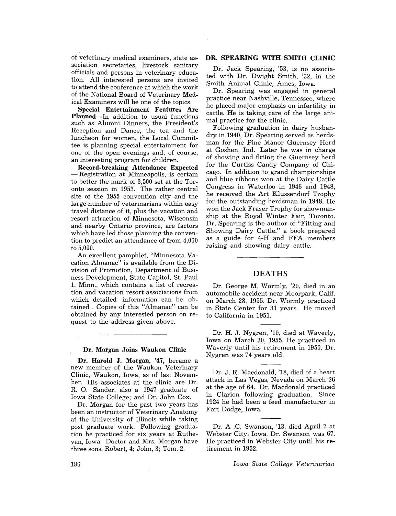of veterinary medical examiners, state as-<br>sociation secretaries, livestock sanitary officials and persons in veterinary education. All interested persons are invited to attend the conference at which the work of the National Board of Veterinary Medical Examiners will be one of the topics.

Special Entertainment Features Are Planned-In addition to usual functions such as Alumni Dinners, the President's Reception and Dance, the tea and the luncheon for women, the Local Committee is planning special entertainment for one of the open evenings and, of course, an interesting program for children.

Record-breaking Attendance Expected - Registration at Minneapolis, is certain to better the mark of 3,500 set at the Toronto session in 1953. The rather central site of the 1955 convention city and the large number of veterinarians within easy travel distance of it, plus the vacation and resort attraction of Minnesota, Wisconsin and nearby Ontario province, are factors which have led those planning the convention to predict an attendance of from 4,000 to 5,000.

An excellent pamphlet, "Minnesota Vacation Almanac" is available from the Division of Promotion, Department of Business Development, State Capitol, St. Paul 1, Minn., which contains a list of recreation and vacation resort associations from which detailed information can be obtained . Copies of this "Almanac" can be obtained by any interested person on request to the address given above.

### Dr. Morgan Joins Waukon Clinic

Dr. Harold J. Morgan, '47, became a new member of the Waukon Veterinary Clinic, Waukon, Iowa, as of last November. His associates at the clinic are Dr. R. O. Sander, also a 1947 graduate of Iowa State College; and Dr. John Cox.

Dr. Morgan for the past two years has been an instructor of Veterinary Anatomy at the University of Illinois while taking post graduate work. Following graduation he practiced for six years at Ruthevan, Iowa. Doctor and Mrs. Morgan have three sons, Robert, 4; John, 3; Tom, 2.

## DR. SPEARING WITH SMITH CLINIC

Dr. Jack Spearing, '53, is no associated with Dr. Dwight Smith, '32, in the Smith Animal Clinic, Ames, Iowa.

Dr. Spearing was engaged in general practice near Nashville, Tennessee, where he placed major emphasis on infertility in cattle. He is taking care of the large animal practice for the clinic.

Following graduation in dairy husbandry in 1940, Dr. Spearing served as herdsman for the Pine Manor Guernsey Herd at Goshen, Ind. Later he was in charge of showing and fitting the Guernsey herd for the Curtiss Candy Company of Chicago. In addition to grand championships and blue ribbons won at the Dairy Cattle Congress in Waterloo in 1946 and 1948 he received the Art Klussendorf Trophy for the outstanding herdsman in 1948. He won the Jack Fraser Trophy for showmanship at the Royal Winter Fair, Toronto. Dr. Spearing is the author of "Fitting and Showing Dairy Cattle," a book prepared as a guide for 4-H and FFA members raising and showing dairy cattle.

## DEATHS

Dr. George M. Wormly, '20, died in an automobile accident near Moorpark, Calif. on March 28, 1955. Dr. Wormly practiced in State Center for 31 years. He moved to California in 1951.

Dr. H. J. Nygren, '10, died at Waverly, Iowa on March 30, 1955. He practiced in Waverly until his retirement in 1950. Dr. Nygren was 74 years old.

Dr. J. R. Macdonald, '18, died of a heart attack in Las Vegas, Nevada on March 26 at the age of 64. Dr. Macdonald practiced in Clarion following graduation. Since 1924 he had been a feed manufacturer in Fort Dodge, Iowa.

Dr. A .C. Swanson, '13, died April 7 at Webster City; Iowa. Dr. Swanson was 67. He practiced in Webster City until his retirement in 1952.

*Iowa State College Veterinarian*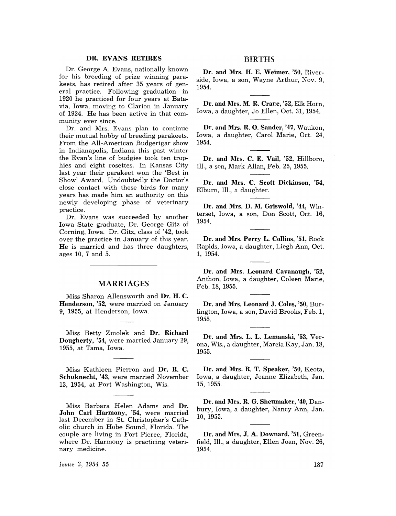## DR. EVANS RETIRES

Dr. George A. Evans, nationally known for his breeding of prize winning parakeets, has retired after 35 years of general practice. Following graduation in 1920 he practiced for four years at Batavia, Iowa, moving to Clarion in January of 1924. He has been active in that community ever since.

Dr. and Mrs. Evans plan to continue their mutual hobby of breeding parakeets. From the All-American Budgerigar show in Indianapolis, Indiana this past winter the Evan's line of budgies took ten trophies and eight rosettes. In Kansas City last year their parakeet won the 'Best in Show' Award. Undoubtedly the Doctor's close contact with these birds for many years has made him an authority on this newly developing phase of veterinary practice.

Dr. Evans was succeeded by another Iowa State graduate, Dr. George Gitz of Corning, Iowa. Dr. Gitz, class of '42, took over the practice in January of this year. He is married and has three daughters, ages 10, 7 and 5.

## MARRIAGES

Miss Sharon Allensworth and Dr. H. C. Henderson, '52, were married on January 9, 1955, at Henderson, Iowa.

Miss Betty Zmolek and Dr. Richard Dougherty, '54, were married January 29, 1955, at Tama, Iowa.

Miss Kathleen Pierron and Dr. R. C. Schuknecht, '43, were married November 13, 1954, at Port Washington, Wis.

Miss Barbara Helen Adams and Dr. John Carl Harmony, '54, were married last December in St. Christopher's Catholic church in Hobe Sound, Florida. The couple are living in Fort Pierce, Florida, where Dr. Harmony is practicing veterinary medicine.

BIRTHS

Dr. and Mrs. H. E. Weimer, '50, Riverside, Iowa, a son, Wayne Arthur, Nov. 9, 1954.

Dr. and Mrs. M. R. Crane, '52, Elk Horn, Iowa, a daughter, Jo Ellen, Oct. 31,1954.

Dr. and Mrs. R. O. Sander, '47, Waukon, Iowa, a daughter, Carol Marie, Oct. 24, 1954.

Dr. and Mrs. C. E. Vail, '52, Hillboro, Ill., a son, Mark Allan, Feb. 25, 1955.

Dr. and Mrs. C. Scott Dickinson, '54, Elburn, Ill., a daughter.

Dr. and Mrs. D. M. Griswold, '44, Winterset, Iowa, a son, Don Scott, Oct. 16, 1954.

Dr. and Mrs. Perry L. Collins, '51, Rock Rapids, Iowa, a daughter, Liegh Ann, Oct. 1, 1954.

Dr. and Mrs. Leonard Cavanaugh, '52, Anthon, Iowa, a daughter, Coleen Marie, Feb. 18, 1955.

Dr. and Mrs. Leonard J. Coles, '50, Burlington, Iowa, a son, David Brooks, Feb. 1, 1955.

Dr. and Mrs. L. L. Lemanski, '53, Verona, Wis., a daughter, Marcia Kay, Jan. 18, 1955.

Dr. and Mrs. R. T. Speaker, '50, Keota, Iowa, a daughter, Jeanne Elizabeth, Jan. 15,1955.

Dr. and Mrs. R. G. Sheumaker, '40, Danbury, Iowa, a daughter, Nancy Ann, Jan. 10, 1955.

Dr. and Mrs. J. A. Downard, '51, Greenfield, Ill., a daughter, Ellen Joan, Nov. 26, 1954.

*Is:sue* **3, 1954-55**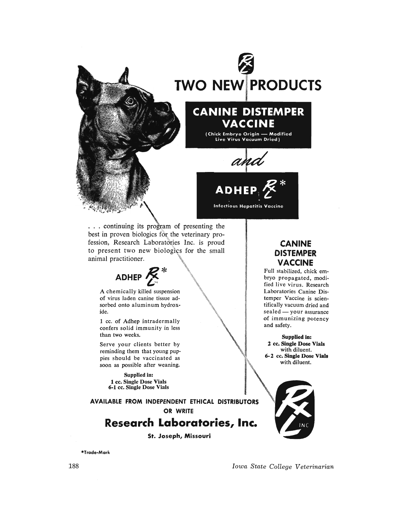

... continuing its program of presenting the best in proven biologics for the veterinary profession, Research Laboratories Inc. is proud to present two new biologics for the small animal practitioner.

**ADHEP** ~\*

A chemically killed suspension of virus laden canine tissue adsorbed onto aluminum hydroxide.

1 cc. of Adhep intradermally confers solid immunity in less than two weeks.

Serve your clients better by reminding them that young puppies should be vaccinated as soon as possible after weaning.

> Supplied in: 1 cc. Single Dose Vials 6-1 cc. Single Dose Vials

**AVAILABLE FROM INDEPENDENT ETHICAL DISTRIBUTORS OR WRITE** 

## **Research Laboratories, Inc.**

**St. Joseph, Missouri** 

\*Trade-Mark

## **CANINE DISTEMPER VACCINE**

Full stabilized, chick embryo propagated, modified live virus. Research Laboratories Canine Distemper Vaccine is scientifically vacuum dried and sealed - your assurance of immunizing potency and safety.

Supplied in: 2 cc. Single Dose Vials with diluent. 6· 2 cc. Single Dose Vials with diluent.



*Iowa State College Veterinarian*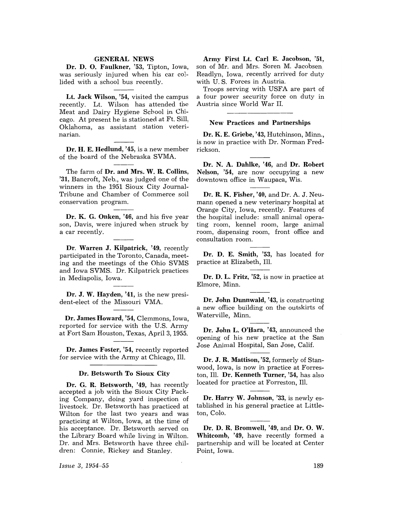## **GENERAL NEWS**

Dr. D. O. Faulkner, '53, Tipton, Iowa, was seriously injured when his car collided with a school bus recently.

Lt. Jack Wilson, '54, visited the campus recently. Lt. Wilson has attended the Meat and Dairy Hygiene School in Chicago. At present he is stationed at Ft. Sill, Oklahoma, as assistant station veterinarian.

Dr. H. E. Hedlund, '45, is a new member of the board of the Nebraska SVMA.

The farm of Dr. and Mrs. W. R. Collins, '31, Bancroft, Neb., was judged one of the winners in the 1951 Sioux City Journal-Tribune and Chamber of Commerce soil conservation program.

Dr. K. G. Onken, '46, and his five year son, Davis, were injured when struck by a car recently.

Dr. Warren J. Kilpatrick, '49, recently participated in the Toronto, Canada, meeting and the meetings of the Ohio SVMS and Iowa SVMS. Dr. Kilpatrick practices in Mediapolis, Iowa.

Dr. J. W. Hayden, '41, is the new president-elect of the Missouri VMA.

Dr. James Howard, '54, Clemmons, Iowa, reported for service with the U.S. Army at Fort Sam Houston, Texas, April 3, 1955.

Dr. James Foster, '54, recently reported for service with the Army at Chicago, Ill.

#### Dr. Betsworth To Sioux City

Dr. G. R. Betsworth, '49, has recently accepted a job with the Sioux City Packing Company, doing yard inspection of livestock. Dr. Betsworth has practiced at Wilton for the last two years and was practicing at Wilton, Iowa, at the time of his acceptance. Dr. Betsworth served on the Library Board while living in Wilton. Dr. and Mrs. Betsworth have three children: Connie, Rickey and Stanley.

Army First Lt. Carl E. Jacobson, '51, son of Mr. and Mrs. Soren M. Jacobsen, Readlyn, Iowa, recently arrived for duty with U. S. Forces in Austria.

Troops serving with USFA are part of a four power security force on duty in Austria since World War II.

## New Practices and Partnerships

Dr. K. E. Griebe, '43, Hutchinson, Minn., is now in practice with Dr. Norman Fredrickson.

Dr. N. A. Dahlke, '46, and Dr. Robert Nelson, '54, are now occupying a new downtown office in Waupaca, Wis.

Dr. R. K. Fisher, '40, and Dr. A. J. Neumann opened a new veterinary hospital at Orange City, Iowa, recently. Features of the hospital include: small animal operating room, kennel room, large animal room, dispensing room, front office and consultation room.

Dr. D. E. Smith, '53, has located for practice at Elizabeth, Ill.

Dr. D. L. Fritz, '52, is now in practice at Elmore, Minn.

Dr. John Dunnwald, '43, is constructing a new office building on the outskirts of Waterville, Minn.

Dr. John L. O'Hara, '43, announced the opening of his new practice at the San Jose Animal Hospital, San Jose, Calif.

Dr. J. R. Mattison, '52, formerly of Stanwood, Iowa, is now in practice at Forreston, Ill. Dr. Kenneth Turner, '54, has also located for practice at Forreston, Ill.

Dr. Harry W. Johnson, '33, is newly established in his general practice at Littleton, Colo.

Dr. D. R. Bromwell, '49, and Dr. O. W. Whitcomb, '49, have recently formed a partnership and will be located at Center Point, Iowa.

*Issue* 3, 1954-55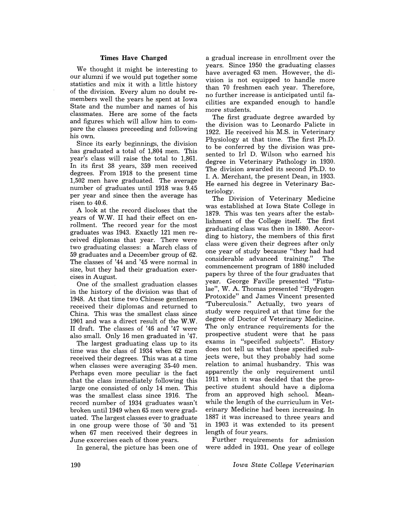## Times Have Changed

We thought it might be interesting to our alumni if we would put together some statistics and mix it with a little history of the division. Every alum no doubt remembers well the years he spent at Iowa State and the number and names of his classmates. Here are some of the facts and figures which will allow him to compare the classes preceeding and following his own.

Since its early beginnings, the division has graduated a total of 1,804 men. This year's class will raise the total to 1,861. In its first 38 years, 359 men received degrees. From 1918 to the present time 1,502 men have graduated. The average number of graduates until 1918 was  $9.45$ per year and since then the average has risen to 40.6.

A look at the record discloses that the years of W.W. II had their effect on enrollment. The record year for the most graduates was 1943. Exactly 121 men received diplomas that year. There were two graduating classes: a March class of 59 graduates and a December group of 62. The classes of '44 and '45 were normal in size, but they had their graduation exercises in August.

One of the smallest graduation classes in the history of the division was that of 1948. At that time two Chinese gentlemen received their diplomas and returned to China. This was the smallest class since 1901 and was a direct result of the W.W. II draft. The classes of '46 and '47 were also small. Only 16 men graduated in '47.

The largest graduating class up to its time was the class of 1934 when 62 men received their degrees. This was at a time when classes were averaging 35-40 men. Perhaps even more peculiar is the fact that the class immediately following this large one consisted of only 14 men. This was the smallest class since 1916. The record number of 1934 graduates wasn't broken until 1949 when 65 men were graduated. The largest classes ever to graduate in one group were those of '50 and '51 when 67 men received their degrees in June excercises each of those years.

In general, the picture has been one of

a gradual increase in enrollment over the years. Since 1950 the graduating classes have averaged 63 men. However, the division is not equipped to handle more than 70 freshmen each year. Therefore, no further increase is anticipated until facilities are expanded enough to handle more students.

The first graduate degree awarded by the division was to Leonardo Palicte in 1922. He received his M.S. in Veterinary Physiology at that time. The first Ph.D. to be conferred by the division was presented to Irl D. Wilson who earned his degree in Veterinary Pathology in 1930. The division awarded its second Ph.D. to 1. A. Merchant, the present Dean, in 1933. He earned his degree in Veterinary Bacteriology.

The Division of Veterinary Medicine was established at Iowa State College in 1879. This was ten years after the establishment of the College itself. The first graduating class was then in 1880. According to history, the members of this first class were given their degrees after only one year of study because "they had had considerable advanced training." The commencement program of 1880 included papers by three of the four graduates that year. George Faville presented "Fistulae", W. A. Thomas presented "Hydrogen Protoxide" and James Vincent presented 'Tuberculosis." Actually, two years of study were required at that time for the degree of Doctor of Veterinary Medicine. The only entrance requirements for the prospective student were that he pass exams in "specified subjects". History does not tell us what these specified subjects were, but they probably had some relation to animal husbandry. This was apparently the only requirement until 1911 when it was decided that the prospective student should have a diploma from an approved high school. Meanwhile the length of the curriculum in Veterinary Medicine had been increasing. In 1887 it was increased to three years and in 1903 it was extended to its present length of four years.

Further requirements for admission were added in 1931. One year of college

*Iowa State College Veterinarian*